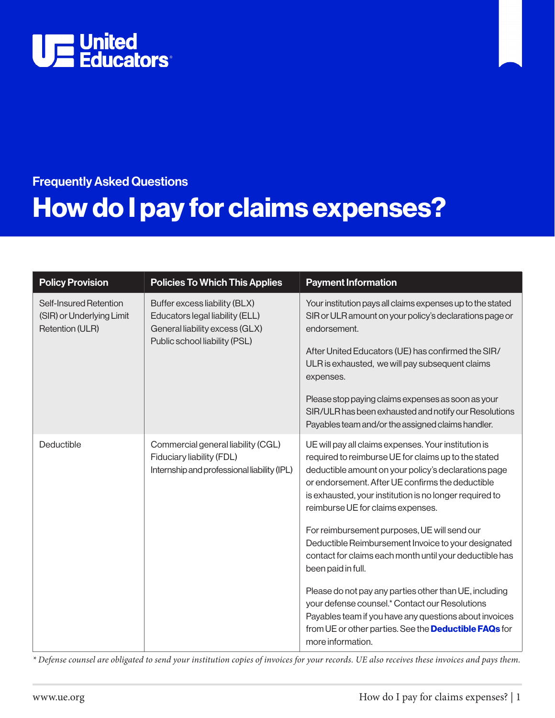

# Frequently Asked Questions How do I pay for claims expenses?

| <b>Policy Provision</b>                                                | <b>Policies To Which This Applies</b>                                                                                               | <b>Payment Information</b>                                                                                                                                                                                                                                                                                                                                                                                                      |
|------------------------------------------------------------------------|-------------------------------------------------------------------------------------------------------------------------------------|---------------------------------------------------------------------------------------------------------------------------------------------------------------------------------------------------------------------------------------------------------------------------------------------------------------------------------------------------------------------------------------------------------------------------------|
| Self-Insured Retention<br>(SIR) or Underlying Limit<br>Retention (ULR) | Buffer excess liability (BLX)<br>Educators legal liability (ELL)<br>General liability excess (GLX)<br>Public school liability (PSL) | Your institution pays all claims expenses up to the stated<br>SIR or ULR amount on your policy's declarations page or<br>endorsement.<br>After United Educators (UE) has confirmed the SIR/<br>ULR is exhausted, we will pay subsequent claims<br>expenses.<br>Please stop paying claims expenses as soon as your<br>SIR/ULR has been exhausted and notify our Resolutions<br>Payables team and/or the assigned claims handler. |
| Deductible                                                             | Commercial general liability (CGL)<br>Fiduciary liability (FDL)<br>Internship and professional liability (IPL)                      | UE will pay all claims expenses. Your institution is<br>required to reimburse UE for claims up to the stated<br>deductible amount on your policy's declarations page<br>or endorsement. After UE confirms the deductible<br>is exhausted, your institution is no longer required to<br>reimburse UE for claims expenses.                                                                                                        |
|                                                                        |                                                                                                                                     | For reimbursement purposes, UE will send our<br>Deductible Reimbursement Invoice to your designated<br>contact for claims each month until your deductible has<br>been paid in full.                                                                                                                                                                                                                                            |
|                                                                        |                                                                                                                                     | Please do not pay any parties other than UE, including<br>your defense counsel.* Contact our Resolutions<br>Payables team if you have any questions about invoices<br>from UE or other parties. See the <b>Deductible FAQs</b> for<br>more information.                                                                                                                                                                         |

*\* Defense counsel are obligated to send your institution copies of invoices for your records. UE also receives these invoices and pays them.*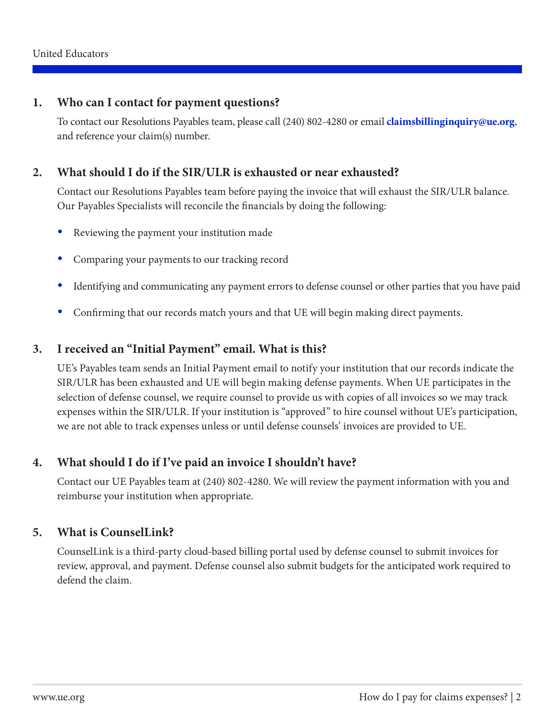#### **1. Who can I contact for payment questions?**

To contact our Resolutions Payables team, please call (240) 802-4280 or email **[claimsbillinginquiry@ue.org](mailto:claimsbillinginquiry%40ue.org?subject=)**, and reference your claim(s) number.

#### **2. What should I do if the SIR/ULR is exhausted or near exhausted?**

Contact our Resolutions Payables team before paying the invoice that will exhaust the SIR/ULR balance. Our Payables Specialists will reconcile the financials by doing the following:

- Reviewing the payment your institution made
- Comparing your payments to our tracking record
- Identifying and communicating any payment errors to defense counsel or other parties that you have paid
- Confirming that our records match yours and that UE will begin making direct payments.

#### **3. I received an "Initial Payment" email. What is this?**

UE's Payables team sends an Initial Payment email to notify your institution that our records indicate the SIR/ULR has been exhausted and UE will begin making defense payments. When UE participates in the selection of defense counsel, we require counsel to provide us with copies of all invoices so we may track expenses within the SIR/ULR. If your institution is "approved" to hire counsel without UE's participation, we are not able to track expenses unless or until defense counsels' invoices are provided to UE.

### **4. What should I do if I've paid an invoice I shouldn't have?**

Contact our UE Payables team at (240) 802-4280. We will review the payment information with you and reimburse your institution when appropriate.

### **5. What is CounselLink?**

CounselLink is a third-party cloud-based billing portal used by defense counsel to submit invoices for review, approval, and payment. Defense counsel also submit budgets for the anticipated work required to defend the claim.